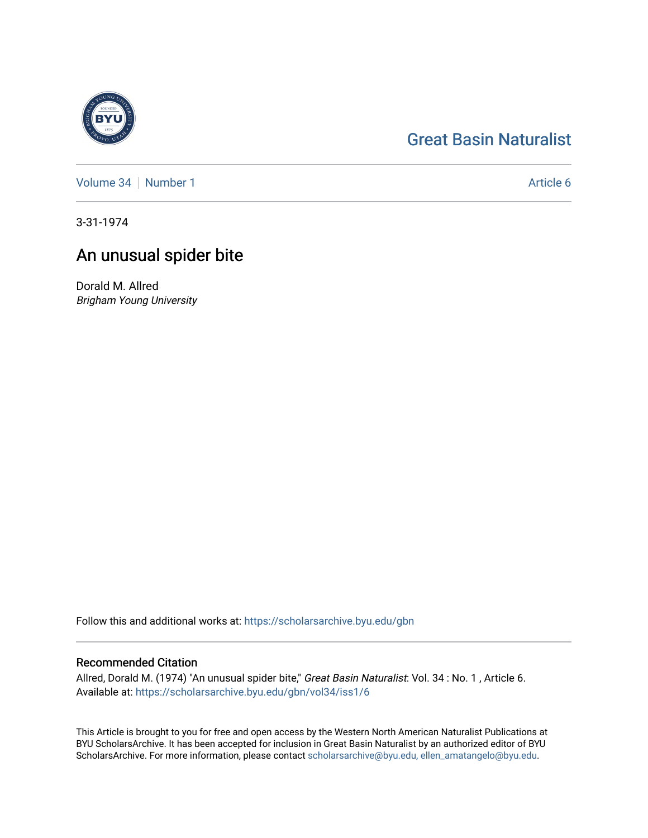# [Great Basin Naturalist](https://scholarsarchive.byu.edu/gbn)

[Volume 34](https://scholarsarchive.byu.edu/gbn/vol34) | [Number 1](https://scholarsarchive.byu.edu/gbn/vol34/iss1) Article 6

3-31-1974

# An unusual spider bite

Dorald M. Allred Brigham Young University

Follow this and additional works at: [https://scholarsarchive.byu.edu/gbn](https://scholarsarchive.byu.edu/gbn?utm_source=scholarsarchive.byu.edu%2Fgbn%2Fvol34%2Fiss1%2F6&utm_medium=PDF&utm_campaign=PDFCoverPages) 

### Recommended Citation

Allred, Dorald M. (1974) "An unusual spider bite," Great Basin Naturalist: Vol. 34 : No. 1 , Article 6. Available at: [https://scholarsarchive.byu.edu/gbn/vol34/iss1/6](https://scholarsarchive.byu.edu/gbn/vol34/iss1/6?utm_source=scholarsarchive.byu.edu%2Fgbn%2Fvol34%2Fiss1%2F6&utm_medium=PDF&utm_campaign=PDFCoverPages)

This Article is brought to you for free and open access by the Western North American Naturalist Publications at BYU ScholarsArchive. It has been accepted for inclusion in Great Basin Naturalist by an authorized editor of BYU ScholarsArchive. For more information, please contact [scholarsarchive@byu.edu, ellen\\_amatangelo@byu.edu.](mailto:scholarsarchive@byu.edu,%20ellen_amatangelo@byu.edu)